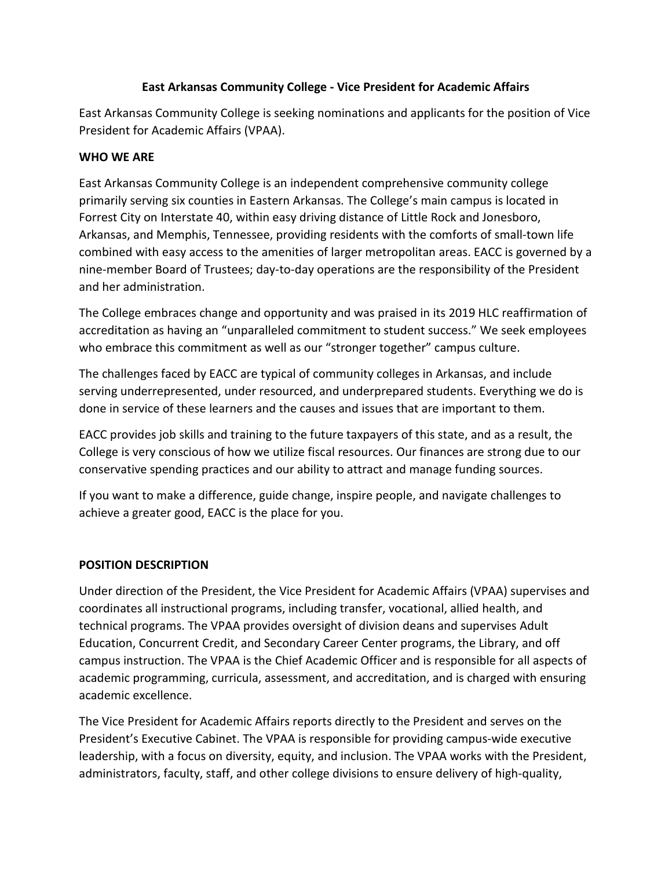# **East Arkansas Community College - Vice President for Academic Affairs**

East Arkansas Community College is seeking nominations and applicants for the position of Vice President for Academic Affairs (VPAA).

# **WHO WE ARE**

East Arkansas Community College is an independent comprehensive community college primarily serving six counties in Eastern Arkansas. The College's main campus is located in Forrest City on Interstate 40, within easy driving distance of Little Rock and Jonesboro, Arkansas, and Memphis, Tennessee, providing residents with the comforts of small-town life combined with easy access to the amenities of larger metropolitan areas. EACC is governed by a nine-member Board of Trustees; day-to-day operations are the responsibility of the President and her administration.

The College embraces change and opportunity and was praised in its 2019 HLC reaffirmation of accreditation as having an "unparalleled commitment to student success." We seek employees who embrace this commitment as well as our "stronger together" campus culture.

The challenges faced by EACC are typical of community colleges in Arkansas, and include serving underrepresented, under resourced, and underprepared students. Everything we do is done in service of these learners and the causes and issues that are important to them.

EACC provides job skills and training to the future taxpayers of this state, and as a result, the College is very conscious of how we utilize fiscal resources. Our finances are strong due to our conservative spending practices and our ability to attract and manage funding sources.

If you want to make a difference, guide change, inspire people, and navigate challenges to achieve a greater good, EACC is the place for you.

## **POSITION DESCRIPTION**

Under direction of the President, the Vice President for Academic Affairs (VPAA) supervises and coordinates all instructional programs, including transfer, vocational, allied health, and technical programs. The VPAA provides oversight of division deans and supervises Adult Education, Concurrent Credit, and Secondary Career Center programs, the Library, and off campus instruction. The VPAA is the Chief Academic Officer and is responsible for all aspects of academic programming, curricula, assessment, and accreditation, and is charged with ensuring academic excellence.

The Vice President for Academic Affairs reports directly to the President and serves on the President's Executive Cabinet. The VPAA is responsible for providing campus-wide executive leadership, with a focus on diversity, equity, and inclusion. The VPAA works with the President, administrators, faculty, staff, and other college divisions to ensure delivery of high-quality,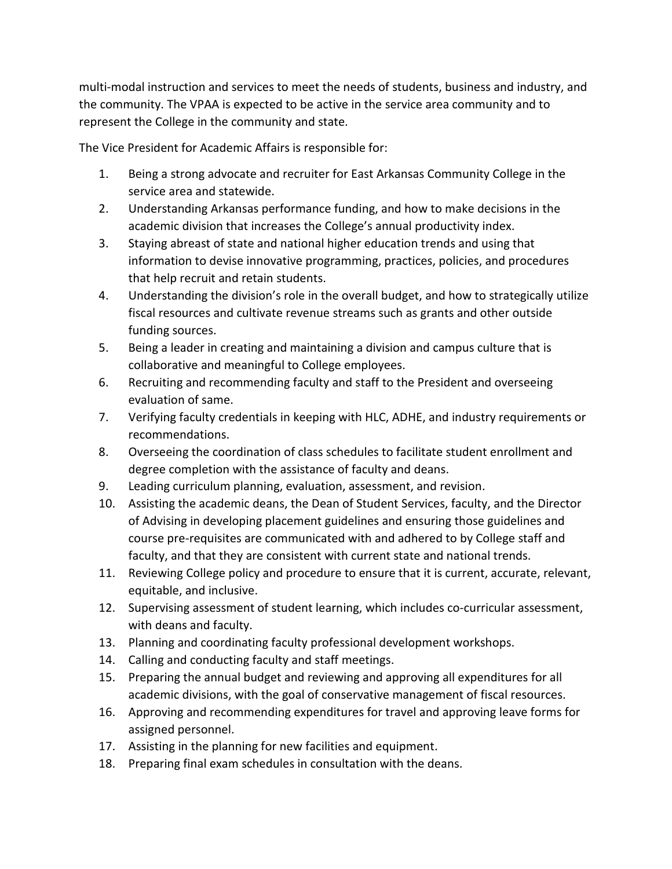multi-modal instruction and services to meet the needs of students, business and industry, and the community. The VPAA is expected to be active in the service area community and to represent the College in the community and state.

The Vice President for Academic Affairs is responsible for:

- 1. Being a strong advocate and recruiter for East Arkansas Community College in the service area and statewide.
- 2. Understanding Arkansas performance funding, and how to make decisions in the academic division that increases the College's annual productivity index.
- 3. Staying abreast of state and national higher education trends and using that information to devise innovative programming, practices, policies, and procedures that help recruit and retain students.
- 4. Understanding the division's role in the overall budget, and how to strategically utilize fiscal resources and cultivate revenue streams such as grants and other outside funding sources.
- 5. Being a leader in creating and maintaining a division and campus culture that is collaborative and meaningful to College employees.
- 6. Recruiting and recommending faculty and staff to the President and overseeing evaluation of same.
- 7. Verifying faculty credentials in keeping with HLC, ADHE, and industry requirements or recommendations.
- 8. Overseeing the coordination of class schedules to facilitate student enrollment and degree completion with the assistance of faculty and deans.
- 9. Leading curriculum planning, evaluation, assessment, and revision.
- 10. Assisting the academic deans, the Dean of Student Services, faculty, and the Director of Advising in developing placement guidelines and ensuring those guidelines and course pre-requisites are communicated with and adhered to by College staff and faculty, and that they are consistent with current state and national trends.
- 11. Reviewing College policy and procedure to ensure that it is current, accurate, relevant, equitable, and inclusive.
- 12. Supervising assessment of student learning, which includes co-curricular assessment, with deans and faculty.
- 13. Planning and coordinating faculty professional development workshops.
- 14. Calling and conducting faculty and staff meetings.
- 15. Preparing the annual budget and reviewing and approving all expenditures for all academic divisions, with the goal of conservative management of fiscal resources.
- 16. Approving and recommending expenditures for travel and approving leave forms for assigned personnel.
- 17. Assisting in the planning for new facilities and equipment.
- 18. Preparing final exam schedules in consultation with the deans.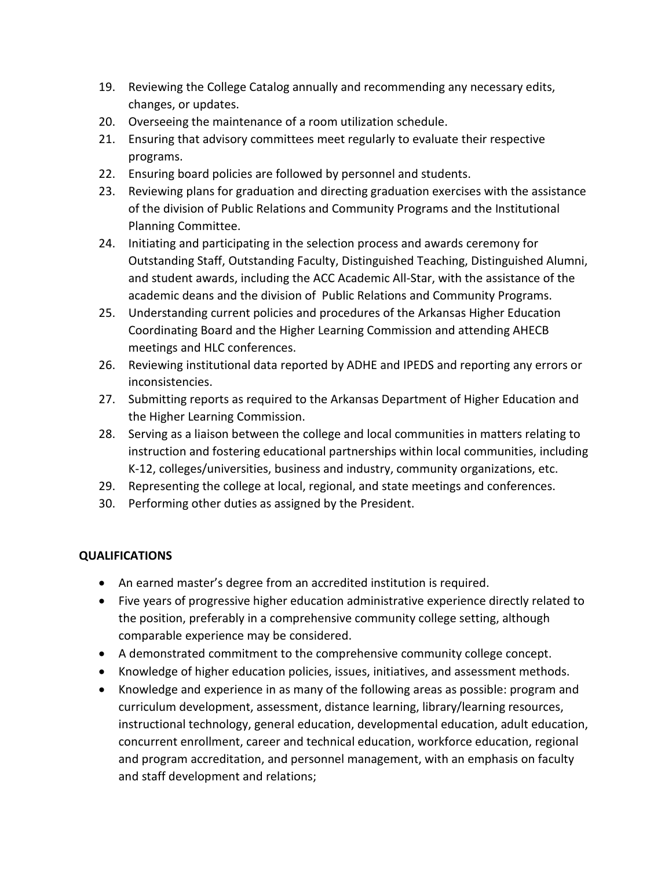- 19. Reviewing the College Catalog annually and recommending any necessary edits, changes, or updates.
- 20. Overseeing the maintenance of a room utilization schedule.
- 21. Ensuring that advisory committees meet regularly to evaluate their respective programs.
- 22. Ensuring board policies are followed by personnel and students.
- 23. Reviewing plans for graduation and directing graduation exercises with the assistance of the division of Public Relations and Community Programs and the Institutional Planning Committee.
- 24. Initiating and participating in the selection process and awards ceremony for Outstanding Staff, Outstanding Faculty, Distinguished Teaching, Distinguished Alumni, and student awards, including the ACC Academic All-Star, with the assistance of the academic deans and the division of Public Relations and Community Programs.
- 25. Understanding current policies and procedures of the Arkansas Higher Education Coordinating Board and the Higher Learning Commission and attending AHECB meetings and HLC conferences.
- 26. Reviewing institutional data reported by ADHE and IPEDS and reporting any errors or inconsistencies.
- 27. Submitting reports as required to the Arkansas Department of Higher Education and the Higher Learning Commission.
- 28. Serving as a liaison between the college and local communities in matters relating to instruction and fostering educational partnerships within local communities, including K-12, colleges/universities, business and industry, community organizations, etc.
- 29. Representing the college at local, regional, and state meetings and conferences.
- 30. Performing other duties as assigned by the President.

## **QUALIFICATIONS**

- An earned master's degree from an accredited institution is required.
- Five years of progressive higher education administrative experience directly related to the position, preferably in a comprehensive community college setting, although comparable experience may be considered.
- A demonstrated commitment to the comprehensive community college concept.
- Knowledge of higher education policies, issues, initiatives, and assessment methods.
- Knowledge and experience in as many of the following areas as possible: program and curriculum development, assessment, distance learning, library/learning resources, instructional technology, general education, developmental education, adult education, concurrent enrollment, career and technical education, workforce education, regional and program accreditation, and personnel management, with an emphasis on faculty and staff development and relations;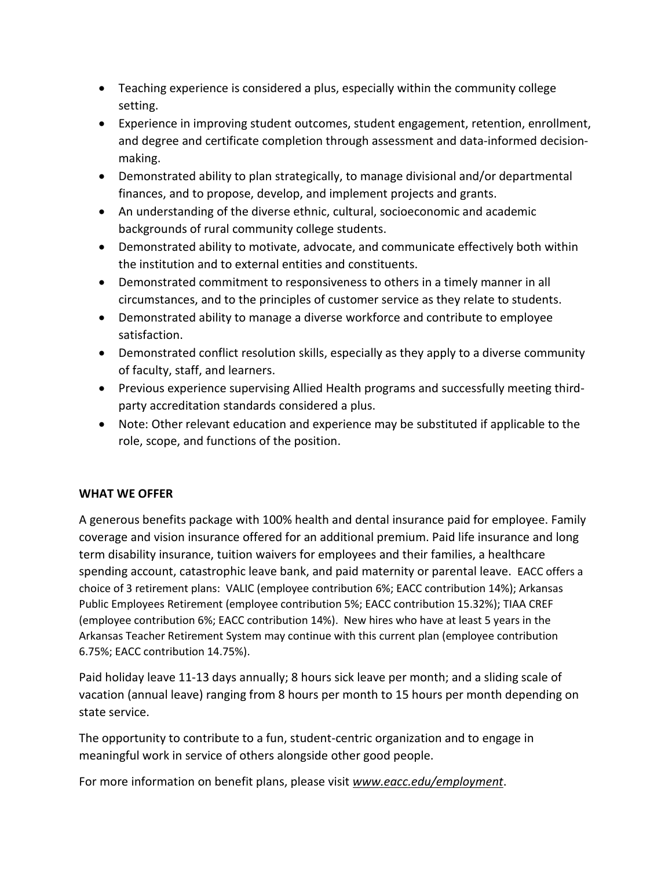- Teaching experience is considered a plus, especially within the community college setting.
- Experience in improving student outcomes, student engagement, retention, enrollment, and degree and certificate completion through assessment and data-informed decisionmaking.
- Demonstrated ability to plan strategically, to manage divisional and/or departmental finances, and to propose, develop, and implement projects and grants.
- An understanding of the diverse ethnic, cultural, socioeconomic and academic backgrounds of rural community college students.
- Demonstrated ability to motivate, advocate, and communicate effectively both within the institution and to external entities and constituents.
- Demonstrated commitment to responsiveness to others in a timely manner in all circumstances, and to the principles of customer service as they relate to students.
- Demonstrated ability to manage a diverse workforce and contribute to employee satisfaction.
- Demonstrated conflict resolution skills, especially as they apply to a diverse community of faculty, staff, and learners.
- Previous experience supervising Allied Health programs and successfully meeting thirdparty accreditation standards considered a plus.
- Note: Other relevant education and experience may be substituted if applicable to the role, scope, and functions of the position.

## **WHAT WE OFFER**

A generous benefits package with 100% health and dental insurance paid for employee. Family coverage and vision insurance offered for an additional premium. Paid life insurance and long term disability insurance, tuition waivers for employees and their families, a healthcare spending account, catastrophic leave bank, and paid maternity or parental leave. EACC offers a choice of 3 retirement plans: VALIC (employee contribution 6%; EACC contribution 14%); Arkansas Public Employees Retirement (employee contribution 5%; EACC contribution 15.32%); TIAA CREF (employee contribution 6%; EACC contribution 14%). New hires who have at least 5 years in the Arkansas Teacher Retirement System may continue with this current plan (employee contribution 6.75%; EACC contribution 14.75%).

Paid holiday leave 11-13 days annually; 8 hours sick leave per month; and a sliding scale of vacation (annual leave) ranging from 8 hours per month to 15 hours per month depending on state service.

The opportunity to contribute to a fun, student-centric organization and to engage in meaningful work in service of others alongside other good people.

For more information on benefit plans, please visit *[www.eacc.edu/employment](http://www.eacc.edu/employment)*.